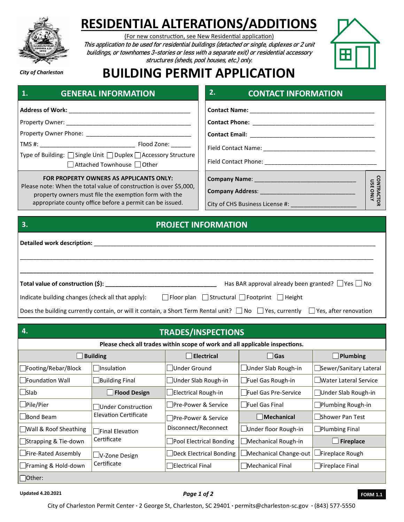

# **RESIDENTIAL ALTERATIONS/ADDITIONS**

(For new construction, see New Residential application)

This application to be used for residential buildings (detached or single, duplexes or 2 unit buildings, or townhomes 3-stories or less with a separate exit) or residential accessory structures (sheds, pool houses, etc.) only.



*City of Charleston*

**3.**

### **BUILDING PERMIT APPLICATION**

| and the second control of the second<br><b>OLIVENAL INFUNIVIALIUIV</b>                             |  |                                         |  |
|----------------------------------------------------------------------------------------------------|--|-----------------------------------------|--|
|                                                                                                    |  |                                         |  |
|                                                                                                    |  |                                         |  |
|                                                                                                    |  |                                         |  |
|                                                                                                    |  |                                         |  |
| Type of Building: □ Single Unit □ Duplex □ Accessory Structure<br>    Attached Townhouse     Other |  |                                         |  |
|                                                                                                    |  | FOR PROPERTY OWNERS AS APPLICANTS ONLY: |  |

**2ENEDAL INEODMATION** 

Please note: When the total value of construction is over \$5,000, property owners must file the exemption form with the appropriate county office before a permit can be issued.

### **GENERAL INFORMATION CONTACT INFORMATION Contact Name:** \_\_\_\_\_\_\_\_\_\_\_\_\_\_\_\_\_\_\_\_\_\_\_\_\_\_\_\_\_\_\_\_\_\_\_\_\_\_ **Contact Phone:** \_\_\_\_\_\_\_\_\_\_\_\_\_\_\_\_\_\_\_\_\_\_\_\_\_\_\_\_\_\_\_\_\_\_\_\_\_ **Contact Email:** \_\_\_\_\_\_\_\_\_\_\_\_\_\_\_\_\_\_\_\_\_\_\_\_\_\_\_\_\_\_\_\_\_\_\_\_\_\_ Field Contact Name: \_\_\_\_\_\_\_\_\_\_\_\_\_\_\_\_\_\_\_\_\_\_\_\_\_\_\_\_\_\_\_\_\_\_ Field Contact Phone: **Example 20 CONTRACTOR**<br>USE ONLY Company Name: \_\_\_\_ **CONTRACTOR USE ONLYCompany Address:**

City of CHS Business License #: \_\_\_\_\_\_\_\_\_\_\_\_\_\_\_\_\_\_\_\_

#### **PROJECT INFORMATION**

| Detailed work description:                                                                                                                      |                                                             |  |  |  |  |  |
|-------------------------------------------------------------------------------------------------------------------------------------------------|-------------------------------------------------------------|--|--|--|--|--|
|                                                                                                                                                 |                                                             |  |  |  |  |  |
|                                                                                                                                                 | Has BAR approval already been granted? $\Box$ Yes $\Box$ No |  |  |  |  |  |
| Indicate building changes (check all that apply):<br>□ Floor plan Structural Footprint Fleight                                                  |                                                             |  |  |  |  |  |
| Does the building currently contain, or will it contain, a Short Term Rental unit? $\Box$ No $\Box$ Yes, currently $\Box$ Yes, after renovation |                                                             |  |  |  |  |  |

| 4.<br><b>TRADES/INSPECTIONS</b>                                              |                       |                                             |                          |                              |  |  |
|------------------------------------------------------------------------------|-----------------------|---------------------------------------------|--------------------------|------------------------------|--|--|
| Please check all trades within scope of work and all applicable inspections. |                       |                                             |                          |                              |  |  |
| <b>Building</b>                                                              |                       | Electrical                                  | <b>Gas</b>               | $\blacksquare$ Plumbing      |  |  |
| $\Box$ Footing/Rebar/Block                                                   | <b>Insulation</b>     | Under Ground                                | Under Slab Rough-in      | Sewer/Sanitary Lateral       |  |  |
| Foundation Wall                                                              | Building Final        | Under Slab Rough-in                         | $\Box$ Fuel Gas Rough-in | <b>Water Lateral Service</b> |  |  |
| $\Box$ Slab                                                                  | <b>Flood Design</b>   | Electrical Rough-in                         | Fuel Gas Pre-Service     | Under Slab Rough-in          |  |  |
| Pile/Pier                                                                    | Under Construction    | Pre-Power & Service                         | <b>Fuel Gas Final</b>    | Plumbing Rough-in            |  |  |
| Bond Beam                                                                    | Elevation Certificate | Pre-Power & Service<br>Disconnect/Reconnect | Mechanical               | <b>Shower Pan Test</b>       |  |  |
| □ Wall & Roof Sheathing                                                      | □Final Elevation      |                                             | Under floor Rough-in     | Plumbing Final               |  |  |
| Strapping & Tie-down                                                         | Certificate           | Pool Electrical Bonding                     | Mechanical Rough-in      | $\Box$ Fireplace             |  |  |
| ∟Fire-Rated Assembly                                                         | V-Zone Design         | Deck Electrical Bonding                     | Mechanical Change-out    | Fireplace Rough              |  |  |
| ∟Framing & Hold-down                                                         | Certificate           | <b>Electrical Final</b>                     | Mechanical Final         | Fireplace Final              |  |  |
| $\Box$ Other:                                                                |                       |                                             |                          |                              |  |  |